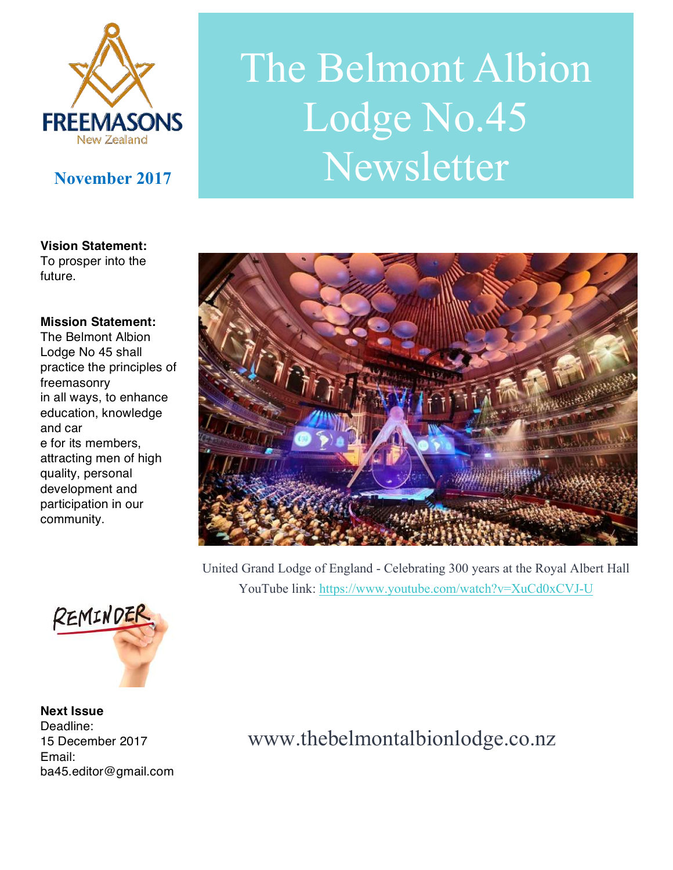

# The Belmont Albion Lodge No.45 Newsletter

**Vision Statement:**  To prosper into the future.

#### **Mission Statement:**

The Belmont Albion Lodge No 45 shall practice the principles of freemasonry in all ways, to enhance education, knowledge and car e for its members, attracting men of high quality, personal development and participation in our community.



United Grand Lodge of England - Celebrating 300 years at the Royal Albert Hall YouTube link: https://www.youtube.com/watch?v=XuCd0xCVJ-U



**Next Issue**  Deadline: 15 December 2017 Email: ba45.editor@gmail.com

## www.thebelmontalbionlodge.co.nz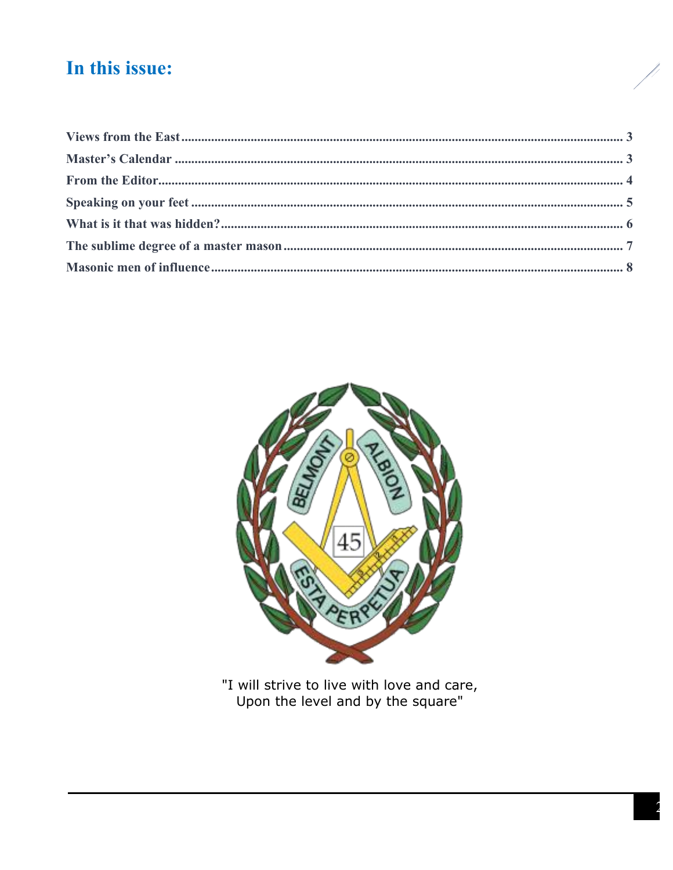## In this issue:



"I will strive to live with love and care,<br>Upon the level and by the square"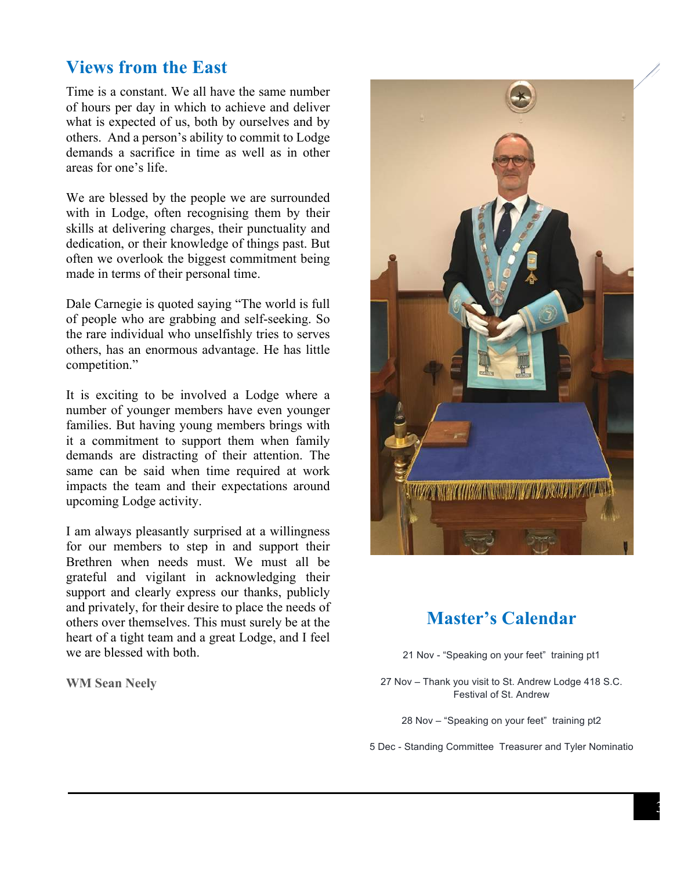#### **Views from the East**

Time is a constant. We all have the same number of hours per day in which to achieve and deliver what is expected of us, both by ourselves and by others. And a person's ability to commit to Lodge demands a sacrifice in time as well as in other areas for one's life.

We are blessed by the people we are surrounded with in Lodge, often recognising them by their skills at delivering charges, their punctuality and dedication, or their knowledge of things past. But often we overlook the biggest commitment being made in terms of their personal time.

Dale Carnegie is quoted saying "The world is full of people who are grabbing and self-seeking. So the rare individual who unselfishly tries to serves others, has an enormous advantage. He has little competition."

It is exciting to be involved a Lodge where a number of younger members have even younger families. But having young members brings with it a commitment to support them when family demands are distracting of their attention. The same can be said when time required at work impacts the team and their expectations around upcoming Lodge activity.

I am always pleasantly surprised at a willingness for our members to step in and support their Brethren when needs must. We must all be grateful and vigilant in acknowledging their support and clearly express our thanks, publicly and privately, for their desire to place the needs of others over themselves. This must surely be at the heart of a tight team and a great Lodge, and I feel we are blessed with both.

**WM Sean Neely** 



#### **Master's Calendar**

21 Nov - "Speaking on your feet" training pt1

27 Nov – Thank you visit to St. Andrew Lodge 418 S.C. Festival of St. Andrew

28 Nov – "Speaking on your feet" training pt2

5 Dec - Standing Committee Treasurer and Tyler Nominatio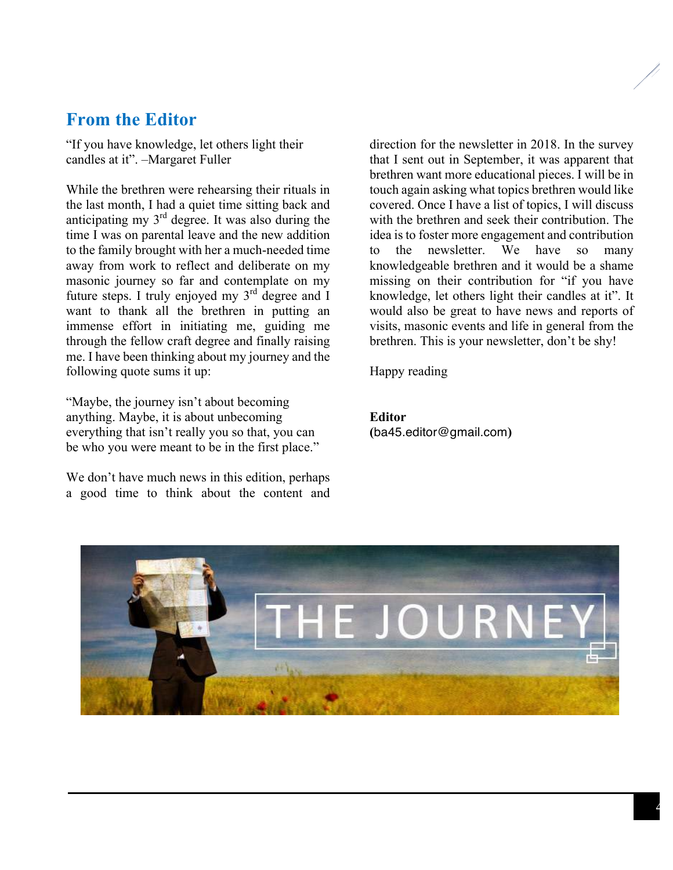#### **From the Editor**

"If you have knowledge, let others light their candles at it". –Margaret Fuller

While the brethren were rehearsing their rituals in the last month, I had a quiet time sitting back and anticipating my 3rd degree. It was also during the time I was on parental leave and the new addition to the family brought with her a much-needed time away from work to reflect and deliberate on my masonic journey so far and contemplate on my future steps. I truly enjoyed my 3<sup>rd</sup> degree and I want to thank all the brethren in putting an immense effort in initiating me, guiding me through the fellow craft degree and finally raising me. I have been thinking about my journey and the following quote sums it up:

"Maybe, the journey isn't about becoming anything. Maybe, it is about unbecoming everything that isn't really you so that, you can be who you were meant to be in the first place."

We don't have much news in this edition, perhaps a good time to think about the content and direction for the newsletter in 2018. In the survey that I sent out in September, it was apparent that brethren want more educational pieces. I will be in touch again asking what topics brethren would like covered. Once I have a list of topics, I will discuss with the brethren and seek their contribution. The idea is to foster more engagement and contribution to the newsletter. We have so many knowledgeable brethren and it would be a shame missing on their contribution for "if you have knowledge, let others light their candles at it". It would also be great to have news and reports of visits, masonic events and life in general from the brethren. This is your newsletter, don't be shy!

Happy reading

**Editor (**ba45.editor@gmail.com**)**

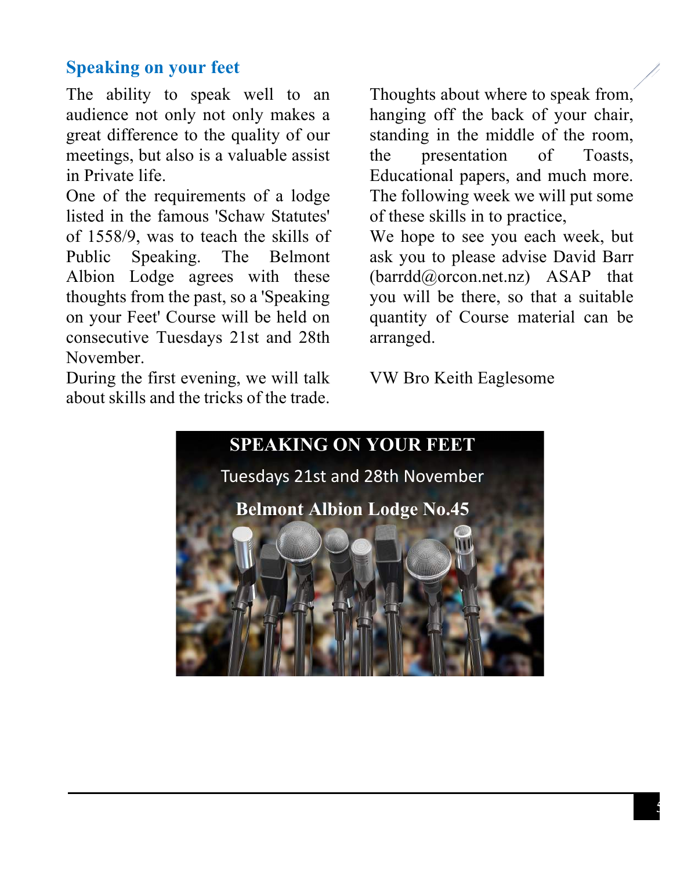#### **Speaking on your feet**

The ability to speak well to an audience not only not only makes a great difference to the quality of our meetings, but also is a valuable assist in Private life.

One of the requirements of a lodge listed in the famous 'Schaw Statutes' of 1558/9, was to teach the skills of Public Speaking. The Belmont Albion Lodge agrees with these thoughts from the past, so a 'Speaking on your Feet' Course will be held on consecutive Tuesdays 21st and 28th November.

During the first evening, we will talk about skills and the tricks of the trade.

Thoughts about where to speak from, hanging off the back of your chair, standing in the middle of the room, the presentation of Toasts, Educational papers, and much more. The following week we will put some of these skills in to practice,

We hope to see you each week, but ask you to please advise David Barr (barrdd@orcon.net.nz) ASAP that you will be there, so that a suitable quantity of Course material can be arranged.

VW Bro Keith Eaglesome

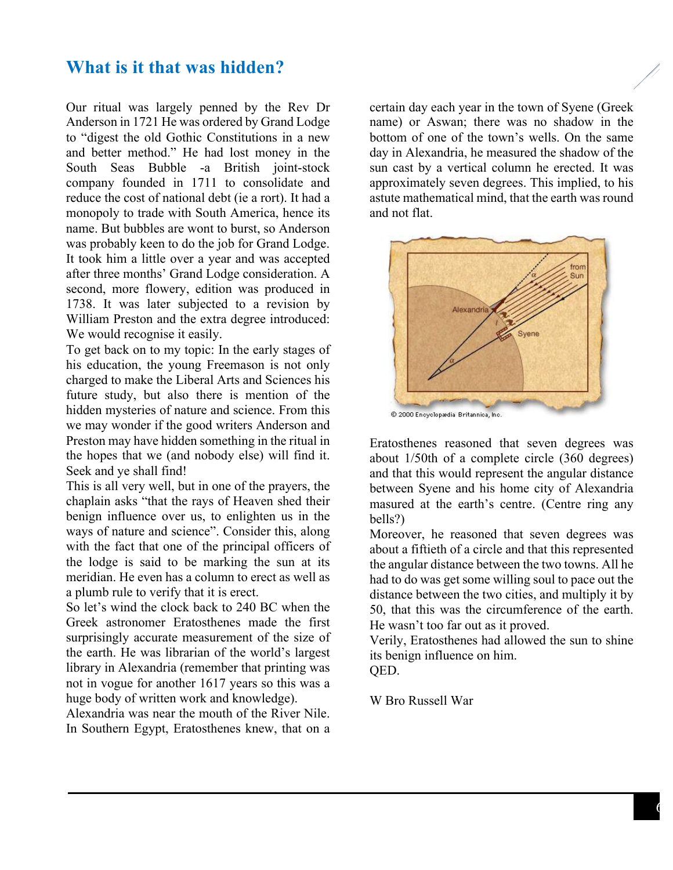#### **What is it that was hidden?**

Our ritual was largely penned by the Rev Dr Anderson in 1721 He was ordered by Grand Lodge to "digest the old Gothic Constitutions in a new and better method." He had lost money in the South Seas Bubble -a British joint-stock company founded in 1711 to consolidate and reduce the cost of national debt (ie a rort). It had a monopoly to trade with South America, hence its name. But bubbles are wont to burst, so Anderson was probably keen to do the job for Grand Lodge. It took him a little over a year and was accepted after three months' Grand Lodge consideration. A second, more flowery, edition was produced in 1738. It was later subjected to a revision by William Preston and the extra degree introduced: We would recognise it easily.

To get back on to my topic: In the early stages of his education, the young Freemason is not only charged to make the Liberal Arts and Sciences his future study, but also there is mention of the hidden mysteries of nature and science. From this we may wonder if the good writers Anderson and Preston may have hidden something in the ritual in the hopes that we (and nobody else) will find it. Seek and ye shall find!

This is all very well, but in one of the prayers, the chaplain asks "that the rays of Heaven shed their benign influence over us, to enlighten us in the ways of nature and science". Consider this, along with the fact that one of the principal officers of the lodge is said to be marking the sun at its meridian. He even has a column to erect as well as a plumb rule to verify that it is erect.

So let's wind the clock back to 240 BC when the Greek astronomer Eratosthenes made the first surprisingly accurate measurement of the size of the earth. He was librarian of the world's largest library in Alexandria (remember that printing was not in vogue for another 1617 years so this was a huge body of written work and knowledge).

Alexandria was near the mouth of the River Nile. In Southern Egypt, Eratosthenes knew, that on a

certain day each year in the town of Syene (Greek name) or Aswan; there was no shadow in the bottom of one of the town's wells. On the same day in Alexandria, he measured the shadow of the sun cast by a vertical column he erected. It was approximately seven degrees. This implied, to his astute mathematical mind, that the earth was round and not flat.



© 2000 Encyclopædia Britannica, Inc.

Eratosthenes reasoned that seven degrees was about 1/50th of a complete circle (360 degrees) and that this would represent the angular distance between Syene and his home city of Alexandria masured at the earth's centre. (Centre ring any bells?)

Moreover, he reasoned that seven degrees was about a fiftieth of a circle and that this represented the angular distance between the two towns. All he had to do was get some willing soul to pace out the distance between the two cities, and multiply it by 50, that this was the circumference of the earth. He wasn't too far out as it proved.

Verily, Eratosthenes had allowed the sun to shine its benign influence on him.

QED.

W Bro Russell War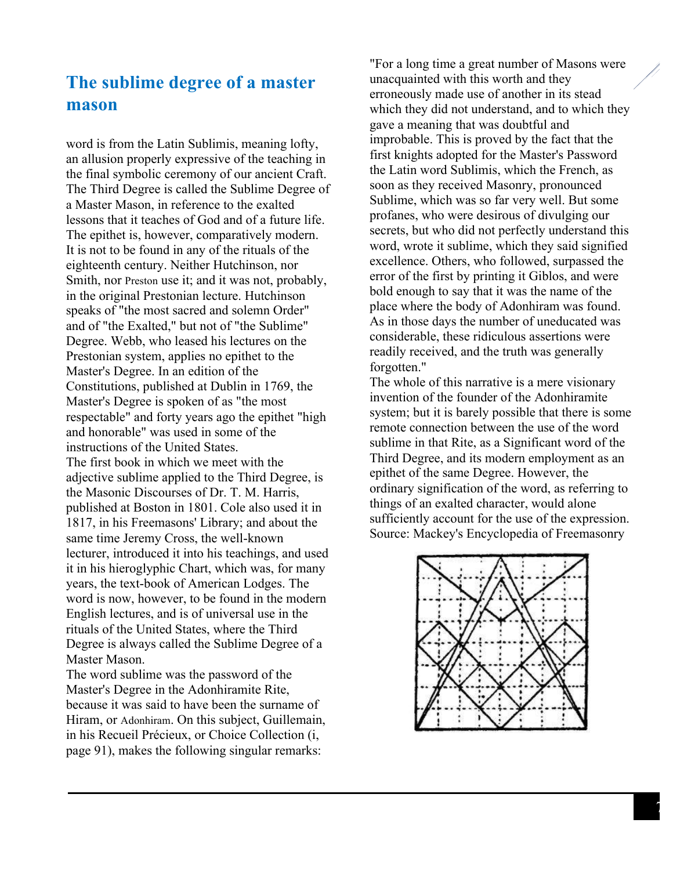#### **The sublime degree of a master mason**

word is from the Latin Sublimis, meaning lofty, an allusion properly expressive of the teaching in the final symbolic ceremony of our ancient Craft. The Third Degree is called the Sublime Degree of a Master Mason, in reference to the exalted lessons that it teaches of God and of a future life. The epithet is, however, comparatively modern. It is not to be found in any of the rituals of the eighteenth century. Neither Hutchinson, nor Smith, nor Preston use it; and it was not, probably, in the original Prestonian lecture. Hutchinson speaks of "the most sacred and solemn Order" and of "the Exalted," but not of "the Sublime" Degree. Webb, who leased his lectures on the Prestonian system, applies no epithet to the Master's Degree. In an edition of the Constitutions, published at Dublin in 1769, the Master's Degree is spoken of as "the most respectable" and forty years ago the epithet "high and honorable" was used in some of the instructions of the United States. The first book in which we meet with the adjective sublime applied to the Third Degree, is the Masonic Discourses of Dr. T. M. Harris, published at Boston in 1801. Cole also used it in 1817, in his Freemasons' Library; and about the same time Jeremy Cross, the well-known lecturer, introduced it into his teachings, and used it in his hieroglyphic Chart, which was, for many years, the text-book of American Lodges. The word is now, however, to be found in the modern English lectures, and is of universal use in the rituals of the United States, where the Third Degree is always called the Sublime Degree of a Master Mason.

The word sublime was the password of the Master's Degree in the Adonhiramite Rite, because it was said to have been the surname of Hiram, or Adonhiram. On this subject, Guillemain, in his Recueil Précieux, or Choice Collection (i, page 91), makes the following singular remarks:

"For a long time a great number of Masons were unacquainted with this worth and they erroneously made use of another in its stead which they did not understand, and to which they gave a meaning that was doubtful and improbable. This is proved by the fact that the first knights adopted for the Master's Password the Latin word Sublimis, which the French, as soon as they received Masonry, pronounced Sublime, which was so far very well. But some profanes, who were desirous of divulging our secrets, but who did not perfectly understand this word, wrote it sublime, which they said signified excellence. Others, who followed, surpassed the error of the first by printing it Giblos, and were bold enough to say that it was the name of the place where the body of Adonhiram was found. As in those days the number of uneducated was considerable, these ridiculous assertions were readily received, and the truth was generally forgotten."

The whole of this narrative is a mere visionary invention of the founder of the Adonhiramite system; but it is barely possible that there is some remote connection between the use of the word sublime in that Rite, as a Significant word of the Third Degree, and its modern employment as an epithet of the same Degree. However, the ordinary signification of the word, as referring to things of an exalted character, would alone sufficiently account for the use of the expression. Source: Mackey's Encyclopedia of Freemasonry

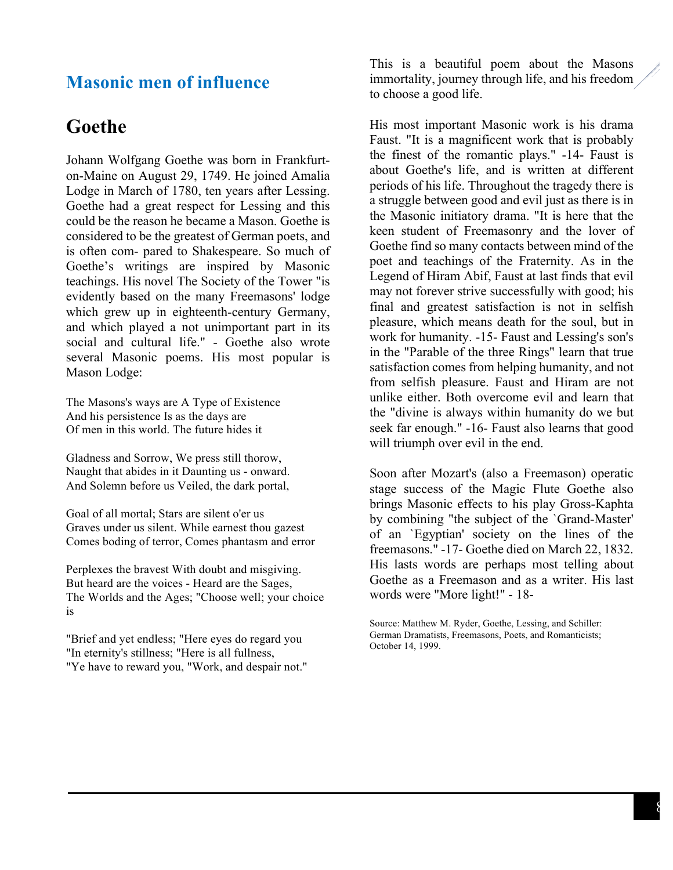#### **Masonic men of influence**

#### **Goethe**

Johann Wolfgang Goethe was born in Frankfurton-Maine on August 29, 1749. He joined Amalia Lodge in March of 1780, ten years after Lessing. Goethe had a great respect for Lessing and this could be the reason he became a Mason. Goethe is considered to be the greatest of German poets, and is often com- pared to Shakespeare. So much of Goethe's writings are inspired by Masonic teachings. His novel The Society of the Tower "is evidently based on the many Freemasons' lodge which grew up in eighteenth-century Germany, and which played a not unimportant part in its social and cultural life." - Goethe also wrote several Masonic poems. His most popular is Mason Lodge:

The Masons's ways are A Type of Existence And his persistence Is as the days are Of men in this world. The future hides it

Gladness and Sorrow, We press still thorow, Naught that abides in it Daunting us - onward. And Solemn before us Veiled, the dark portal,

Goal of all mortal; Stars are silent o'er us Graves under us silent. While earnest thou gazest Comes boding of terror, Comes phantasm and error

Perplexes the bravest With doubt and misgiving. But heard are the voices - Heard are the Sages, The Worlds and the Ages; "Choose well; your choice is

"Brief and yet endless; "Here eyes do regard you "In eternity's stillness; "Here is all fullness, "Ye have to reward you, "Work, and despair not." This is a beautiful poem about the Masons immortality, journey through life, and his freedom to choose a good life.

His most important Masonic work is his drama Faust. "It is a magnificent work that is probably the finest of the romantic plays." -14- Faust is about Goethe's life, and is written at different periods of his life. Throughout the tragedy there is a struggle between good and evil just as there is in the Masonic initiatory drama. "It is here that the keen student of Freemasonry and the lover of Goethe find so many contacts between mind of the poet and teachings of the Fraternity. As in the Legend of Hiram Abif, Faust at last finds that evil may not forever strive successfully with good; his final and greatest satisfaction is not in selfish pleasure, which means death for the soul, but in work for humanity. -15- Faust and Lessing's son's in the "Parable of the three Rings" learn that true satisfaction comes from helping humanity, and not from selfish pleasure. Faust and Hiram are not unlike either. Both overcome evil and learn that the "divine is always within humanity do we but seek far enough." -16- Faust also learns that good will triumph over evil in the end.

Soon after Mozart's (also a Freemason) operatic stage success of the Magic Flute Goethe also brings Masonic effects to his play Gross-Kaphta by combining "the subject of the `Grand-Master' of an `Egyptian' society on the lines of the freemasons." -17- Goethe died on March 22, 1832. His lasts words are perhaps most telling about Goethe as a Freemason and as a writer. His last words were "More light!" - 18-

Source: Matthew M. Ryder, Goethe, Lessing, and Schiller: German Dramatists, Freemasons, Poets, and Romanticists; October 14, 1999.